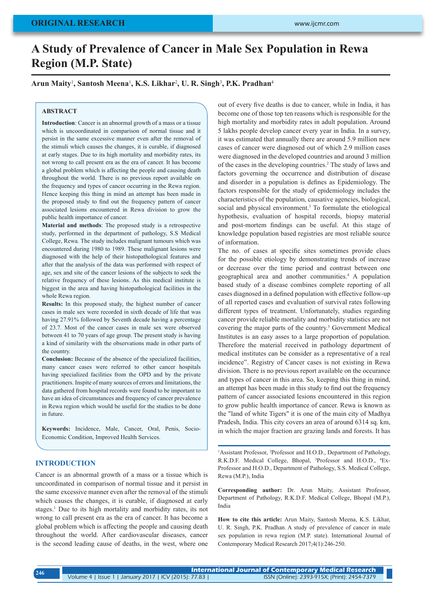# **A Study of Prevalence of Cancer in Male Sex Population in Rewa Region (M.P. State)**

**Arun Maity**<sup>1</sup> **, Santosh Meena**<sup>1</sup> **, K.S. Likhar**<sup>2</sup> **, U. R. Singh**<sup>3</sup> **, P.K. Pradhan**<sup>4</sup>

## **ABSTRACT**

**Introduction**: Cancer is an abnormal growth of a mass or a tissue which is uncoordinated in comparison of normal tissue and it persist in the same excessive manner even after the removal of the stimuli which causes the changes, it is curable, if diagnosed at early stages. Due to its high mortality and morbidity rates, its not wrong to call present era as the era of cancer. It has become a global problem which is affecting the people and causing death throughout the world. There is no previous report available on the frequency and types of cancer occurring in the Rewa region. Hence keeping this thing in mind an attempt has been made in the proposed study to find out the frequency pattern of cancer associated lesions encountered in Rewa division to grow the public health importance of cancer.

**Material and methods**: The proposed study is a retrospective study, performed in the department of pathology, S.S Medical College, Rewa. The study includes malignant tumours which was encountered during 1980 to 1989. These malignant lesions were diagnosed with the help of their histopathological features and after that the analysis of the data was performed with respect of age, sex and site of the cancer lesions of the subjects to seek the relative frequency of these lesions. As this medical institute is biggest in the area and having histopathological facilities in the whole Rewa region.

**Results:** In this proposed study, the highest number of cancer cases in male sex were recorded in sixth decade of life that was having 27.91% followed by Seventh decade having a percentage of 23.7. Most of the cancer cases in male sex were observed between 41 to 70 years of age group. The present study is having a kind of similarity with the observations made in other parts of the country.

**Conclusion:** Because of the absence of the specialized facilities, many cancer cases were referred to other cancer hospitals having specialized facilities from the OPD and by the private practitioners. Inspite of many sources of errors and limitations, the data gathered from hospital records were found to be important to have an idea of circumstances and frequency of cancer prevalence in Rewa region which would be useful for the studies to be done in future.

**Keywords:** Incidence, Male, Cancer, Oral, Penis, Socio-Economic Condition, Improved Health Services.

# **INTRODUCTION**

Cancer is an abnormal growth of a mass or a tissue which is uncoordinated in comparison of normal tissue and it persist in the same excessive manner even after the removal of the stimuli which causes the changes, it is curable, if diagnosed at early stages.<sup>1</sup> Due to its high mortality and morbidity rates, its not wrong to call present era as the era of cancer. It has become a global problem which is affecting the people and causing death throughout the world. After cardiovascular diseases, cancer is the second leading cause of deaths, in the west, where one

out of every five deaths is due to cancer, while in India, it has become one of those top ten reasons which is responsible for the high mortality and morbidity rates in adult population. Around 5 lakhs people develop cancer every year in India. In a survey, it was estimated that annually there are around 5.9 million new cases of cancer were diagnosed out of which 2.9 million cases were diagnosed in the developed countries and around 3 million of the cases in the developing countries.<sup>2</sup> The study of laws and factors governing the occurrence and distribution of disease and disorder in a population is defines as Epidemiology. The factors responsible for the study of epidemiology includes the characteristics of the population, causative agencies, biological, social and physical environment.<sup>3</sup> To formulate the etiological hypothesis, evaluation of hospital records, biopsy material and post-mortem findings can be useful. At this stage of knowledge population based registries are most reliable source of information.

The no. of cases at specific sites sometimes provide clues for the possible etiology by demonstrating trends of increase or decrease over the time period and contrast between one geographical area and another communities.4 A population based study of a disease combines complete reporting of all cases diagnosed in a defined population with effective follow-up of all reported cases and evaluation of survival rates following different types of treatment. Unfortunately, studies regarding cancer provide reliable mortality and morbidity statistics are not covering the major parts of the country.<sup>5</sup> Government Medical Institutes is an easy asses to a large proportion of population. Therefore the material received in pathology department of medical institutes can be consider as a representative of a real incidence". Registry of Cancer cases is not existing in Rewa division. There is no previous report available on the occurance and types of cancer in this area. So, keeping this thing in mind, an attempt has been made in this study to find out the frequency pattern of cancer associated lesions encountered in this region to grow public health importance of cancer. Rewa is known as the "land of white Tigers" it is one of the main city of Madhya Pradesh, India. This city covers an area of around 6314 sq. km, in which the major fraction are grazing lands and forests. It has

<sup>1</sup>Assistant Professor, <sup>2</sup>Professor and H.O.D., Department of Pathology, R.K.D.F. Medical College, Bhopal, <sup>3</sup>Professor and H.O.D., <sup>4</sup>Ex-Professor and H.O.D., Department of Pathology, S.S. Medical College, Rewa (M.P.), India

**Corresponding author:** Dr. Arun Maity, Assistant Professor, Department of Pathology, R.K.D.F. Medical College, Bhopal (M.P.), India

**How to cite this article:** Arun Maity, Santosh Meena, K.S. Likhar, U. R. Singh, P.K. Pradhan. A study of prevalence of cancer in male sex population in rewa region (M.P. state). International Journal of Contemporary Medical Research 2017;4(1):246-250.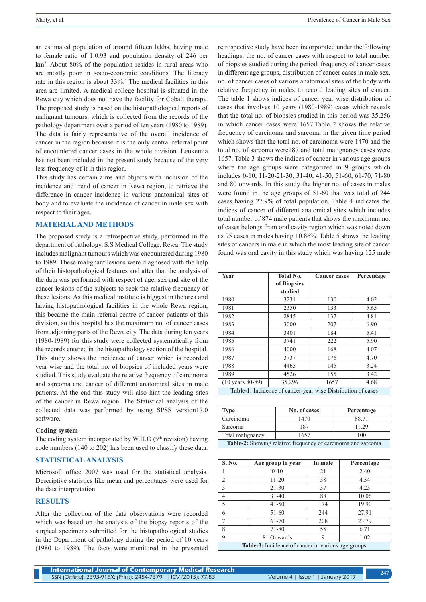an estimated population of around fifteen lakhs, having male to female ratio of 1:0.93 and population density of 246 per km2 . About 80% of the population resides in rural areas who are mostly poor in socio-economic conditions. The literacy rate in this region is about 33%.<sup>6</sup> The medical facilities in this area are limited. A medical college hospital is situated in the Rewa city which does not have the facility for Cobalt therapy. The proposed study is based on the histopathological reports of malignant tumours, which is collected from the records of the pathology department over a period of ten years (1980 to 1989). The data is fairly representative of the overall incidence of cancer in the region because it is the only central referral point of encountered cancer cases in the whole division. Leukemia has not been included in the present study because of the very less frequency of it in this region.

This study has certain aims and objects with inclusion of the incidence and trend of cancer in Rewa region, to retrieve the difference in cancer incidence in various anatomical sites of body and to evaluate the incidence of cancer in male sex with respect to their ages.

#### **MATERIAL AND METHODS**

The proposed study is a retrospective study, performed in the department of pathology, S.S Medical College, Rewa. The study includes malignant tumours which was encountered during 1980 to 1989. These malignant lesions were diagnosed with the help of their histopathological features and after that the analysis of the data was performed with respect of age, sex and site of the cancer lesions of the subjects to seek the relative frequency of these lesions. As this medical institute is biggest in the area and having histopathological facilities in the whole Rewa region, this became the main referral centre of cancer patients of this division, so this hospital has the maximum no. of cancer cases from adjoining parts of the Rewa city. The data during ten years (1980-1989) for this study were collected systematically from the records entered in the histopathology section of the hospital. This study shows the incidence of cancer which is recorded year wise and the total no. of biopsies of included years were studied. This study evaluate the relative frequency of carcinoma and sarcoma and cancer of different anatomical sites in male patients. At the end this study will also hint the leading sites of the cancer in Rewa region. The Statistical analysis of the collected data was performed by using SPSS version17.0 software.

#### **Coding system**

The coding system incorporated by W.H.O  $(9<sup>th</sup>$  revision) having code numbers (140 to 202) has been used to classify these data.

# **STATISTICAL ANALYSIS**

Microsoft office 2007 was used for the statistical analysis. Descriptive statistics like mean and percentages were used for the data interpretation.

## **RESULTS**

After the collection of the data observations were recorded which was based on the analysis of the biopsy reports of the surgical specimens submitted for the histopathological studies in the Department of pathology during the period of 10 years (1980 to 1989). The facts were monitored in the presented

retrospective study have been incorporated under the following headings: the no. of cancer cases with respect to total number of biopsies studied during the period, frequency of cancer cases in different age groups, distribution of cancer cases in male sex, no. of cancer cases of various anatomical sites of the body with relative frequency in males to record leading sites of cancer. The table 1 shows indices of cancer year wise distribution of cases that involves 10 years (1980-1989) cases which reveals that the total no. of biopsies studied in this period was 35,256 in which cancer cases were 1657.Table 2 shows the relative frequency of carcinoma and sarcoma in the given time period which shows that the total no. of carcinoma were 1470 and the total no. of sarcoma were187 and total malignancy cases were 1657. Table 3 shows the indices of cancer in various age groups where the age groups were categorized in 9 groups which includes 0-10, 11-20-21-30, 31-40, 41-50, 51-60, 61-70, 71-80 and 80 onwards. In this study the higher no. of cases in males were found in the age groups of 51-60 that was total of 244 cases having 27.9% of total population. Table 4 indicates the indices of cancer of different anatomical sites which includes total number of 874 male patients that shows the maximum no. of cases belongs from oral cavity region which was noted down as 95 cases in males having 10.86%. Table 5 shows the leading sites of cancers in male in which the most leading site of cancer found was oral cavity in this study which was having 125 male

| Year                                                                | <b>Total No.</b> | <b>Cancer cases</b> | Percentage |  |
|---------------------------------------------------------------------|------------------|---------------------|------------|--|
|                                                                     | of Biopsies      |                     |            |  |
|                                                                     | studied          |                     |            |  |
| 1980                                                                | 3231             | 130                 | 4.02       |  |
| 1981                                                                | 2350             | 133                 | 5.65       |  |
| 1982                                                                | 2845             | 137                 | 4.81       |  |
| 1983                                                                | 3000             | 207                 | 6.90       |  |
| 1984                                                                | 3401             | 184                 | 5.41       |  |
| 1985                                                                | 3741             | 222                 | 5.90       |  |
| 1986                                                                | 4000             | 168                 | 4.07       |  |
| 1987                                                                | 3737             | 176                 | 4.70       |  |
| 1988                                                                | 4465             | 145                 | 3.24       |  |
| 1989                                                                | 4526             | 155                 | 3.42       |  |
| $(10 \text{ years } 80-89)$                                         | 35,296           | 1657                | 4.68       |  |
| <b>Table-1:</b> Incidence of cancer-year wise Distribution of cases |                  |                     |            |  |

| <b>Type</b>                                                  | No. of cases | Percentage |  |  |
|--------------------------------------------------------------|--------------|------------|--|--|
| Carcinoma                                                    | 1470         | 88.71      |  |  |
| Sarcoma                                                      | 187          | 11 29      |  |  |
| Total malignancy<br>1657<br>100                              |              |            |  |  |
| Table-2: Showing relative frequency of carcinoma and sarcoma |              |            |  |  |

| S. No.                                                    | Age group in year | In male |       |  |
|-----------------------------------------------------------|-------------------|---------|-------|--|
|                                                           | $0 - 10$          | 21      | 2.40  |  |
| $\overline{c}$                                            | $11 - 20$         | 38      | 4.34  |  |
| 3                                                         | $21 - 30$         | 37      | 4.23  |  |
| 4                                                         | $31 - 40$         | 88      | 10.06 |  |
| 5                                                         | $41 - 50$         | 174     | 19.90 |  |
| 6                                                         | 51-60             | 244     | 27.91 |  |
| 7                                                         | 61-70             | 208     | 23.79 |  |
| 8                                                         | 71-80             | 55      | 6.71  |  |
| 9                                                         | 81 Onwards        | 9       | 1.02  |  |
| <b>Table-3:</b> Incidence of cancer in various age groups |                   |         |       |  |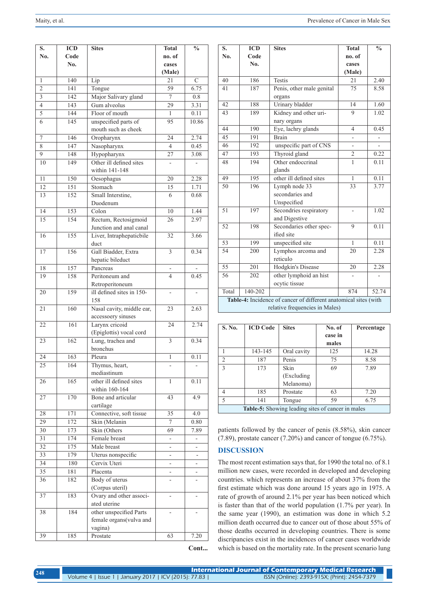| S.              | <b>ICD</b>       | <b>Sites</b>                         | <b>Total</b>    | $\overline{\frac{0}{6}}$ |
|-----------------|------------------|--------------------------------------|-----------------|--------------------------|
| No.             | Code             |                                      | no. of          |                          |
|                 | N <sub>0</sub> . |                                      | cases           |                          |
| $\mathbf{1}$    | 140              |                                      | (Male)<br>21    | $\overline{C}$           |
| $\overline{c}$  | 141              | Lip                                  | 59              | 6.75                     |
| 3               | 142              | Tongue                               | $\overline{7}$  | 0.8                      |
| $\overline{4}$  | 143              | Major Salivary gland<br>Gum alveolus | 29              | $3.\overline{31}$        |
| 5               | 144              | Floor of mouth                       | 1               | 0.11                     |
| 6               | 145              | unspecified parts of                 | 95              | 10.86                    |
|                 |                  | mouth such as cheek                  |                 |                          |
| $\overline{7}$  | 146              | Oropharynx                           | 24              | 2.74                     |
| 8               | 147              | Nasopharynx                          | 4               | 0.45                     |
| 9               | 148              | Hypopharynx                          | 27              | 3.08                     |
| 10              | 149              | Other ill defined sites              | ۰               |                          |
|                 |                  | within 141-148                       |                 |                          |
| 11              | 150              | Oesophagus                           | 20              | 2.28                     |
| 12              | 151              | Stomach                              | 15              | 1.71                     |
| 13              | 152              | Small Interstine,                    | 6               | 0.68                     |
|                 |                  | Duodenum                             |                 |                          |
| 14              | 153              | Colon                                | 10              | 1.44                     |
| 15              | 154              | Rectum, Rectosigmoid                 | 26              | 2.97                     |
|                 |                  | Junction and anal canal              |                 |                          |
| 16              | 155              | Liver, Intraphepaticbile             | $\overline{3}2$ | 3.66                     |
|                 |                  | duct                                 |                 |                          |
| 17              | 156              | Gall Biadder, Extra                  | 3               | 0.34                     |
|                 |                  | hepatic bileduct                     |                 |                          |
| 18              | 157              | Pancreas                             |                 |                          |
| 19              | 158              | Peritoneum and                       | $\overline{4}$  | 0.45                     |
|                 |                  | Retroperitoneum                      |                 |                          |
| 20              | 159              | ill defined sites in 150-            |                 |                          |
|                 |                  | 158                                  |                 |                          |
| 21              | 160              | Nasal cavity, middle ear,            | 23              | 2.63                     |
|                 |                  | accessoery sinuses                   |                 |                          |
| 22              | 161              | Larynx cricoid                       | $\overline{24}$ | 2.74                     |
|                 | 162              | (Epiglottis) vocal cord              | $\overline{3}$  | 0.34                     |
| 23              |                  | Lung, trachea and<br>bronchus        |                 |                          |
| 24              | 163              | Pleura                               | $\mathbf{1}$    | 0.11                     |
| 25              | 164              | Thymus, heart,                       |                 |                          |
|                 |                  | mediastinum                          |                 |                          |
| 26              | 165              | other ill defined sites              | 1               | 0.11                     |
|                 |                  | within 160-164                       |                 |                          |
| 27              | 170              | Bone and articular                   | 43              | 4.9                      |
|                 |                  | cartilage                            |                 |                          |
| 28              | 171              | Connective, soft tissue              | $\overline{35}$ | 4.0                      |
| 29              | 172              | Skin (Melanin                        | $\tau$          | 0.80                     |
| 30              | 173              | Skin (Others                         | 69              | 7.89                     |
| 31              | 174              | Female breast                        |                 |                          |
| 32              | 175              | Male breast                          | -               | -                        |
| $\overline{33}$ | 179              | Uterus nonspecific                   |                 | -                        |
| $\overline{34}$ | 180              | Cervix Uteri                         |                 | ÷.                       |
| 35              | 181              | Placenta                             | ÷,              | $\overline{\phantom{0}}$ |
| 36              | 182              | Body of uterus                       |                 |                          |
|                 |                  | (Corpus uteril)                      |                 |                          |
| 37              | 183              | Ovary and other associ-              |                 |                          |
|                 |                  | ated uterine                         |                 |                          |
| 38              | 184              | other unspecified Parts              |                 |                          |
|                 |                  | female organs(vulva and              |                 |                          |
|                 |                  | vagina)                              |                 |                          |
| 39              | 185              | Prostate                             | 63              | 7.20                     |

| S.                                                               | ICD              | <b>Sites</b>              | <b>Total</b>   | $\frac{0}{0}$ |
|------------------------------------------------------------------|------------------|---------------------------|----------------|---------------|
| No.                                                              | Code             |                           | no. of         |               |
|                                                                  | No.              |                           | cases          |               |
|                                                                  |                  |                           | (Male)         |               |
| 40                                                               | 186              | <b>Testis</b>             | 21             | 2.40          |
| 41                                                               | 187              | Penis, other male genital | 75             | 8.58          |
|                                                                  |                  | organs                    |                |               |
| 42                                                               | 188              | Urinary bladder           | 14             | 1.60          |
| 43                                                               | 189              | Kidney and other uri-     | 9              | 1.02          |
|                                                                  |                  | nary organs               |                |               |
| 44                                                               | 190              | Eye, lachry glands        | $\overline{4}$ | 0.45          |
| 45                                                               | 191              | <b>Brain</b>              |                |               |
| 46                                                               | 192              | unspecific part of CNS    |                |               |
| 47                                                               | 193              | Thyroid gland             | $\overline{c}$ | 0.22          |
| 48                                                               | 194              | Other endoccrinal         | $\overline{1}$ | 0.11          |
|                                                                  |                  | glands                    |                |               |
| 49                                                               | 195              | other ill defined sites   | $\mathbf{1}$   | 0.11          |
| 50                                                               | 196              | Lymph node 33             | 33             | 3.77          |
|                                                                  |                  | secondaries and           |                |               |
|                                                                  |                  | Unspecified               |                |               |
| $\overline{51}$                                                  | 197              | Secondries respiratory    |                | 1.02          |
|                                                                  |                  | and Digestive             |                |               |
| 52                                                               | 198              | Secondaries other spec-   | 9              | 0.11          |
|                                                                  |                  | ified site                |                |               |
| $\overline{53}$                                                  | 199              | unspecified site          | $\mathbf{1}$   | 0.11          |
| 54                                                               | 200              | Lymphos arcoma and        | 20             | 2.28          |
|                                                                  |                  | reticulo                  |                |               |
| 55                                                               | 201              | <b>Hodgkin's Disease</b>  | 20             | 2.28          |
| 56                                                               | $\overline{202}$ | other lymphoid an hist    |                |               |
|                                                                  |                  | ocytic tissue             |                |               |
| Total                                                            | 140-202          |                           | 874            | 52.74         |
| Table-4: Incidence of cancer of different anatomical sites (with |                  |                           |                |               |
| relative frequencies in Males)                                   |                  |                           |                |               |

| S. No.                                            | <b>ICD Code</b> | <b>Sites</b> | No. of  | Percentage |
|---------------------------------------------------|-----------------|--------------|---------|------------|
|                                                   |                 |              | case in |            |
|                                                   |                 |              | males   |            |
|                                                   | 143-145         | Oral cavity  | 125     | 14.28      |
| $\mathfrak{D}$                                    | 187             | Penis        | 75      | 8.58       |
| $\mathbf{3}$                                      | 173             | Skin         | 69      | 7.89       |
|                                                   |                 | (Excluding)  |         |            |
|                                                   |                 | Melanoma)    |         |            |
| 4                                                 | 185             | Prostate     | 63      | 7.20       |
| $\overline{\phantom{0}}$                          | 141             | Tongue       | 59      | 6.75       |
| Table-5: Showing leading sites of cancer in males |                 |              |         |            |

patients followed by the cancer of penis (8.58%), skin cancer (7.89), prostate cancer (7.20%) and cancer of tongue (6.75%).

# **DISCUSSION**

The most recent estimation says that, for 1990 the total no. of 8.1 million new cases, were recorded in developed and developing countries. which represents an increase of about 37% from the first estimate which was done around 15 years ago in 1975. A rate of growth of around 2.1% per year has been noticed which is faster than that of the world population (1.7% per year). In the same year (1990), an estimation was done in which 5.2 million death occurred due to cancer out of those about 55% of those deaths occurred in developing countries. There is some discripancies exist in the incidences of cancer cases worldwide which is based on the mortality rate. In the present scenario lung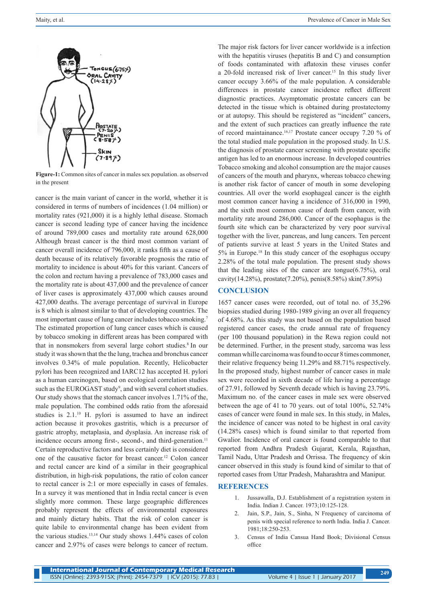

**Figure-1:** Common sites of cancer in males sex population. as observed in the present

cancer is the main variant of cancer in the world, whether it is considered in terms of numbers of incidences (1.04 million) or mortality rates (921,000) it is a highly lethal disease. Stomach cancer is second leading type of cancer having the incidence of around 789,000 cases and mortality rate around 628,000 Although breast cancer is the third most common variant of cancer overall incidence of 796,000, it ranks fifth as a cause of death because of its relatively favorable prognosis the ratio of mortality to incidence is about 40% for this variant. Cancers of the colon and rectum having a prevalence of 783,000 cases and the mortality rate is about 437,000 and the prevalence of cancer of liver cases is approximately 437,000 which causes around 427,000 deaths. The average percentage of survival in Europe is 8 which is almost similar to that of developing countries. The most important cause of lung cancer includes tobacco smoking.7 The estimated proportion of lung cancer cases which is caused by tobacco smoking in different areas has been compared with that in nonsmokers from several large cohort studies.8 In our study it was shown that the the lung, trachea and bronchus cancer involves 0.34% of male population. Recently, Helicobacter pylori has been recognized and IARC12 has accepted H. pylori as a human carcinogen, based on ecological correlation studies such as the EUROGAST study<sup>9</sup>, and with several cohort studies. Our study shows that the stomach cancer involves 1.71% of the, male population. The combined odds ratio from the aforesaid studies is  $2.1<sup>10</sup>$  H. pylori is assumed to have an indirect action because it provokes gastritis, which is a precursor of gastric atrophy, metaplasia, and dysplasia. An increase risk of incidence occurs among first-, second-, and third-generation.<sup>11</sup> Certain reproductive factors and less certainly diet is considered one of the causative factor for breast cancer.<sup>12</sup> Colon cancer and rectal cancer are kind of a similar in their geographical distribution, in high-risk populations, the ratio of colon cancer to rectal cancer is 2:1 or more especially in cases of females. In a survey it was mentioned that in India rectal cancer is even slightly more common. These large geographic differences probably represent the effects of environmental exposures and mainly dietary habits. That the risk of colon cancer is quite labile to environmental change has been evident from the various studies. $13,14$  Our study shows 1.44% cases of colon cancer and 2.97% of cases were belongs to cancer of rectum.

The major risk factors for liver cancer worldwide is a infection with the hepatitis viruses (hepatitis B and C) and consumption of foods contaminated with aflatoxin these viruses confer a 20-fold increased risk of liver cancer.15 In this study liver cancer occupy 3.66% of the male population. A considerable differences in prostate cancer incidence reflect different diagnostic practices. Asymptomatic prostate cancers can be detected in the tissue which is obtained during prostatectomy or at autopsy. This should be registered as "incident" cancers, and the extent of such practices can greatly influence the rate of record maintainance.16,17 Prostate cancer occupy 7.20 % of the total studied male population in the proposed study. In U.S. the diagnosis of prostate cancer screening with prostate specific antigen has led to an enormous increase. In developed countries Tobacco smoking and alcohol consumption are the major causes of cancers of the mouth and pharynx, whereas tobacco chewing is another risk factor of cancer of mouth in some developing countries. All over the world esophageal cancer is the eighth most common cancer having a incidence of 316,000 in 1990, and the sixth most common cause of death from cancer, with mortality rate around 286,000. Cancer of the esophagus is the fourth site which can be characterized by very poor survival together with the liver, pancreas, and lung cancers. Ten percent of patients survive at least 5 years in the United States and 5% in Europe.18 In this study cancer of the esophagus occupy 2.28% of the total male population. The present study shows that the leading sites of the cancer are tongue(6.75%), oral cavity(14.28%), prostate(7.20%), penis(8.58%) skin(7.89%)

## **CONCLUSION**

1657 cancer cases were recorded, out of total no. of 35,296 biopsies studied during 1980-1989 giving an over all frequency of 4.68%. As this study was not based on the population based registered cancer cases, the crude annual rate of frequency (per 100 thousand population) in the Rewa region could not be determined. Further, in the present study, sarcoma was less comman whille carcinoma was found to occur 8 times commoner, their relative frequency being 11.29% and 88.71% respectively. In the proposed study, highest number of cancer cases in male sex were recorded in sixth decade of life having a percentage of 27.91, followed by Seventh decade which is having 23.79%. Maximum no. of the cancer cases in male sex were observed between the age of 41 to 70 years. out of total 100%, 52.74% cases of cancer were found in male sex. In this study, in Males, the incidence of cancer was noted to be highest in oral cavity (14.28% cases) which is found similar to that reported from Gwalior. Incidence of oral cancer is found comparable to that reported from Andhra Pradesh Gujarat, Kerala, Rajasthan, Tamil Nadu, Uttar Pradesh and Orrissa. The frequency of skin cancer observed in this study is found kind of similar to that of reported cases from Uttar Pradesh, Maharashtra and Manipur.

#### **REFERENCES**

- 1. Jussawalla, D.J. Establishment of a registration system in India. Indian J. Cancer. 1973;10:125-128.
- 2. Jain, S.P., Jain, S., Sinha, N Frequency of carcinoma of penis with special reference to north India. India J. Cancer. 1981;18:250-253.
- 3. Census of India Cansua Hand Book; Divisional Census office